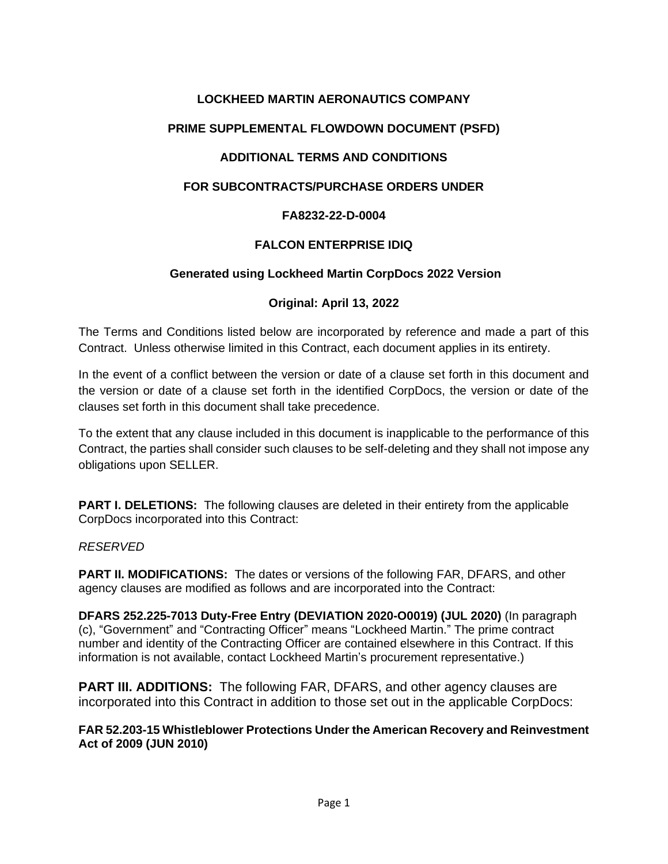# **LOCKHEED MARTIN AERONAUTICS COMPANY**

## **PRIME SUPPLEMENTAL FLOWDOWN DOCUMENT (PSFD)**

## **ADDITIONAL TERMS AND CONDITIONS**

## **FOR SUBCONTRACTS/PURCHASE ORDERS UNDER**

### **FA8232-22-D-0004**

### **FALCON ENTERPRISE IDIQ**

### **Generated using Lockheed Martin CorpDocs 2022 Version**

### **Original: April 13, 2022**

The Terms and Conditions listed below are incorporated by reference and made a part of this Contract. Unless otherwise limited in this Contract, each document applies in its entirety.

In the event of a conflict between the version or date of a clause set forth in this document and the version or date of a clause set forth in the identified CorpDocs, the version or date of the clauses set forth in this document shall take precedence.

To the extent that any clause included in this document is inapplicable to the performance of this Contract, the parties shall consider such clauses to be self-deleting and they shall not impose any obligations upon SELLER.

**PART I. DELETIONS:** The following clauses are deleted in their entirety from the applicable CorpDocs incorporated into this Contract:

#### *RESERVED*

**PART II. MODIFICATIONS:** The dates or versions of the following FAR, DFARS, and other agency clauses are modified as follows and are incorporated into the Contract:

**DFARS 252.225-7013 Duty-Free Entry (DEVIATION 2020-O0019) (JUL 2020)** (In paragraph (c), "Government" and "Contracting Officer" means "Lockheed Martin." The prime contract number and identity of the Contracting Officer are contained elsewhere in this Contract. If this information is not available, contact Lockheed Martin's procurement representative.)

**PART III. ADDITIONS:** The following FAR, DFARS, and other agency clauses are incorporated into this Contract in addition to those set out in the applicable CorpDocs:

#### **FAR 52.203-15 Whistleblower Protections Under the American Recovery and Reinvestment Act of 2009 (JUN 2010)**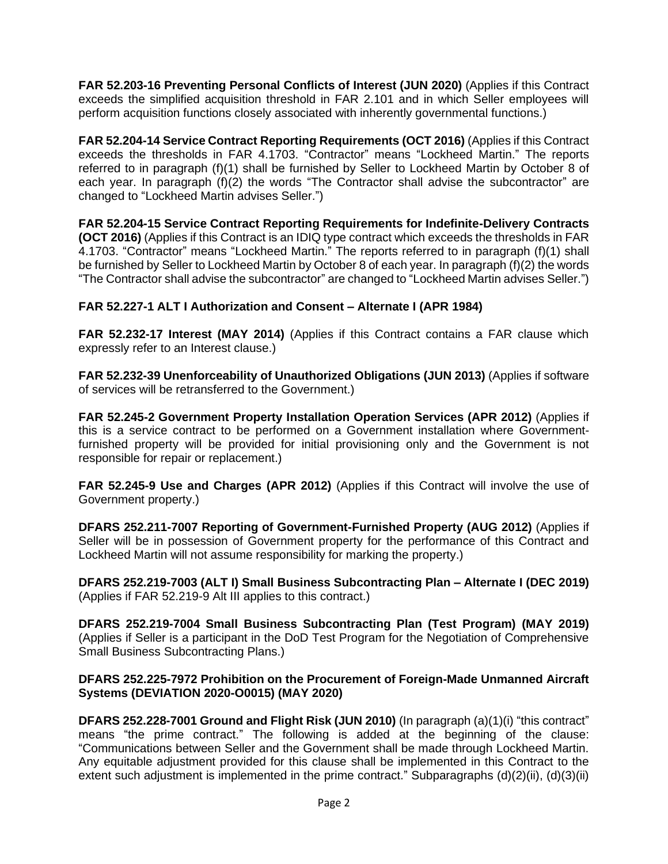**FAR 52.203-16 Preventing Personal Conflicts of Interest (JUN 2020)** (Applies if this Contract exceeds the simplified acquisition threshold in FAR 2.101 and in which Seller employees will perform acquisition functions closely associated with inherently governmental functions.)

**FAR 52.204-14 Service Contract Reporting Requirements (OCT 2016)** (Applies if this Contract exceeds the thresholds in FAR 4.1703. "Contractor" means "Lockheed Martin." The reports referred to in paragraph (f)(1) shall be furnished by Seller to Lockheed Martin by October 8 of each year. In paragraph (f)(2) the words "The Contractor shall advise the subcontractor" are changed to "Lockheed Martin advises Seller.")

**FAR 52.204-15 Service Contract Reporting Requirements for Indefinite-Delivery Contracts (OCT 2016)** (Applies if this Contract is an IDIQ type contract which exceeds the thresholds in FAR 4.1703. "Contractor" means "Lockheed Martin." The reports referred to in paragraph (f)(1) shall be furnished by Seller to Lockheed Martin by October 8 of each year. In paragraph (f)(2) the words "The Contractor shall advise the subcontractor" are changed to "Lockheed Martin advises Seller.")

# **FAR 52.227-1 ALT I Authorization and Consent – Alternate I (APR 1984)**

**FAR 52.232-17 Interest (MAY 2014)** (Applies if this Contract contains a FAR clause which expressly refer to an Interest clause.)

**FAR 52.232-39 Unenforceability of Unauthorized Obligations (JUN 2013)** (Applies if software of services will be retransferred to the Government.)

**FAR 52.245-2 Government Property Installation Operation Services (APR 2012)** (Applies if this is a service contract to be performed on a Government installation where Governmentfurnished property will be provided for initial provisioning only and the Government is not responsible for repair or replacement.)

**FAR 52.245-9 Use and Charges (APR 2012)** (Applies if this Contract will involve the use of Government property.)

**DFARS 252.211-7007 Reporting of Government-Furnished Property (AUG 2012)** (Applies if Seller will be in possession of Government property for the performance of this Contract and Lockheed Martin will not assume responsibility for marking the property.)

**DFARS 252.219-7003 (ALT I) Small Business Subcontracting Plan – Alternate I (DEC 2019)** (Applies if FAR 52.219-9 Alt III applies to this contract.)

**DFARS 252.219-7004 Small Business Subcontracting Plan (Test Program) (MAY 2019)** (Applies if Seller is a participant in the DoD Test Program for the Negotiation of Comprehensive Small Business Subcontracting Plans.)

## **DFARS 252.225-7972 Prohibition on the Procurement of Foreign-Made Unmanned Aircraft Systems (DEVIATION 2020-O0015) (MAY 2020)**

**DFARS 252.228-7001 Ground and Flight Risk (JUN 2010)** (In paragraph (a)(1)(i) "this contract" means "the prime contract." The following is added at the beginning of the clause: "Communications between Seller and the Government shall be made through Lockheed Martin. Any equitable adjustment provided for this clause shall be implemented in this Contract to the extent such adjustment is implemented in the prime contract." Subparagraphs (d)(2)(ii), (d)(3)(ii)